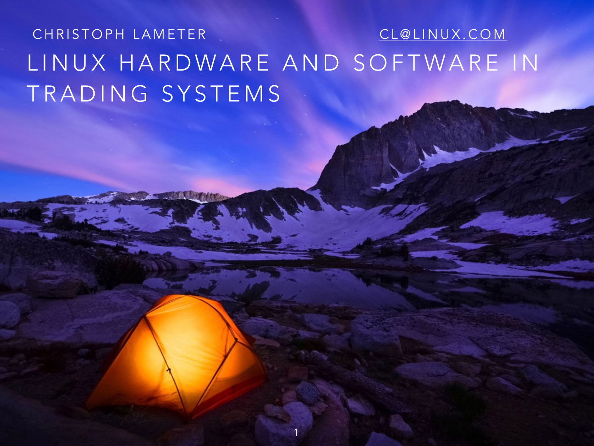### LINUX HARDWARE AND SOFTWARE IN TRADING SYSTEMS CHRISTOPH LAMETER [CL@LINUX.COM](mailto:cl@linux.com)

1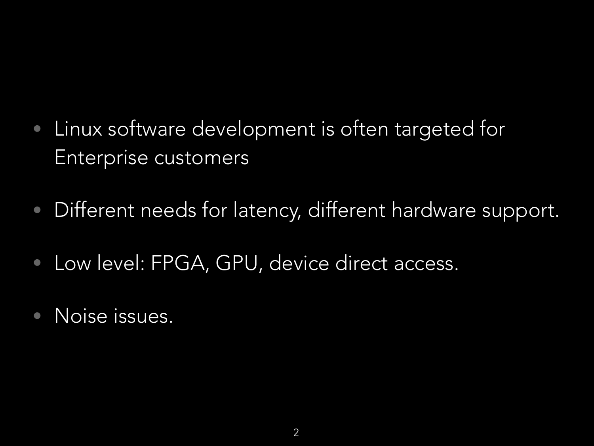### • Linux software development is often targeted for Enterprise customers

- Different needs for latency, different hardware support.
- Low level: FPGA, GPU, device direct access.
- Noise issues.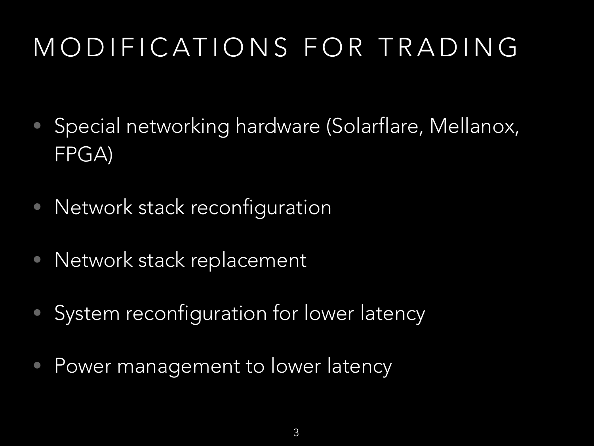# MODIFICATIONS FOR TRADING

- Special networking hardware (Solarflare, Mellanox, FPGA)
- Network stack reconfiguration
- Network stack replacement
- System reconfiguration for lower latency
- Power management to lower latency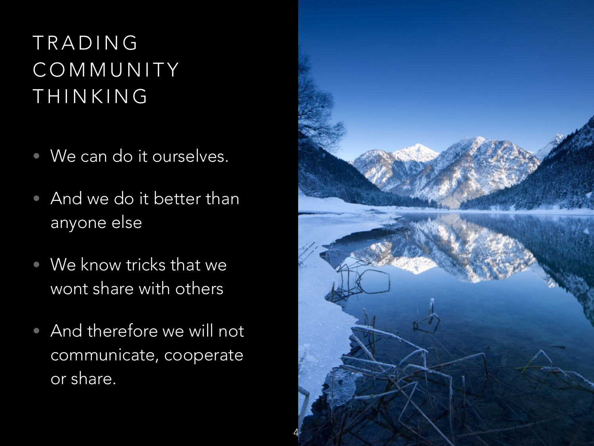#### TRADING COMMUNITY THINKING

- We can do it ourselves.
- And we do it better than anyone else
- We know tricks that we wont share with others
- And therefore we will not communicate, cooperate or share.

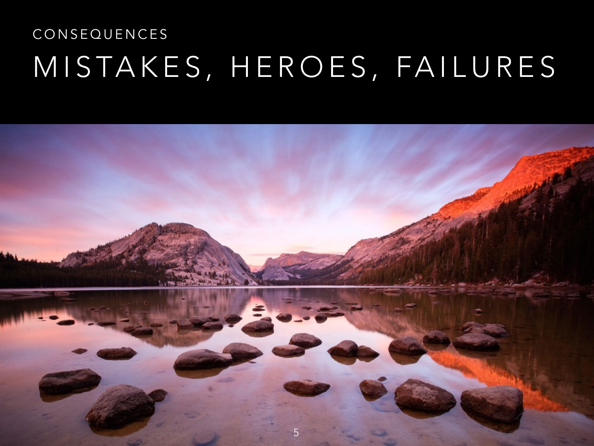### MISTAKES, HEROES, FAILURES CONSEQUENCES

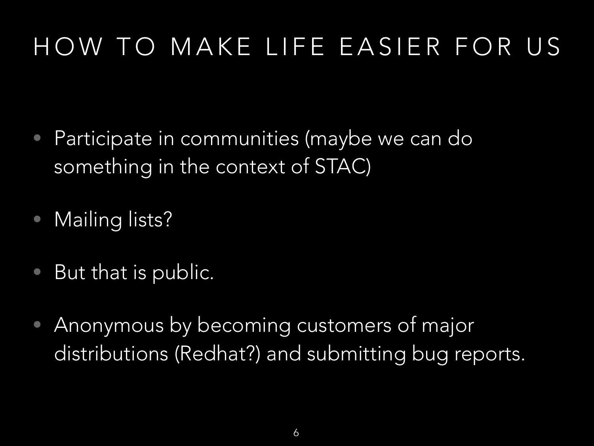## HOW TO MAKE LIFE EASIER FOR US

- Participate in communities (maybe we can do something in the context of STAC)
- Mailing lists?
- But that is public.
- Anonymous by becoming customers of major distributions (Redhat?) and submitting bug reports.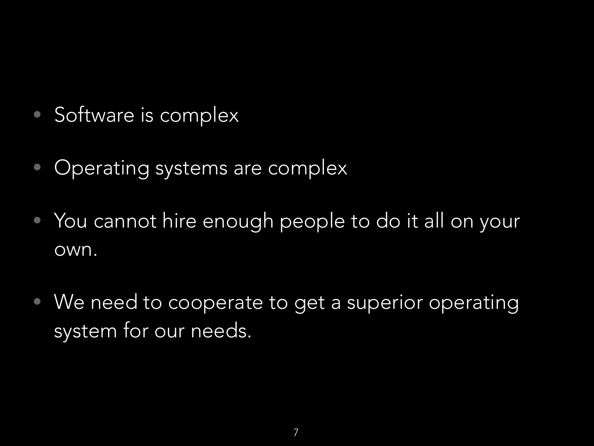- Software is complex
- Operating systems are complex
- You cannot hire enough people to do it all on your own.
- We need to cooperate to get a superior operating system for our needs.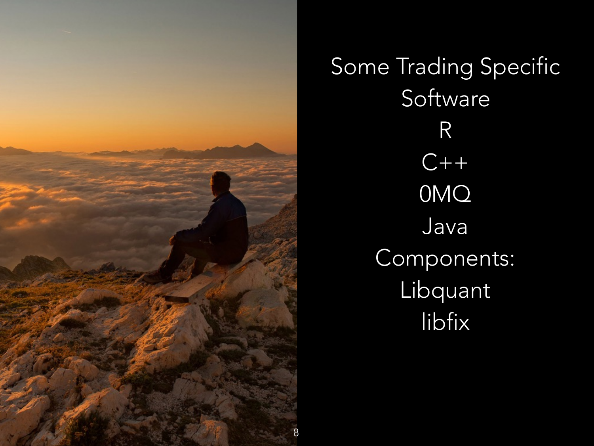

Some Trading Specific Software R  $C++$ 0MQ Java Components: Libquant libfix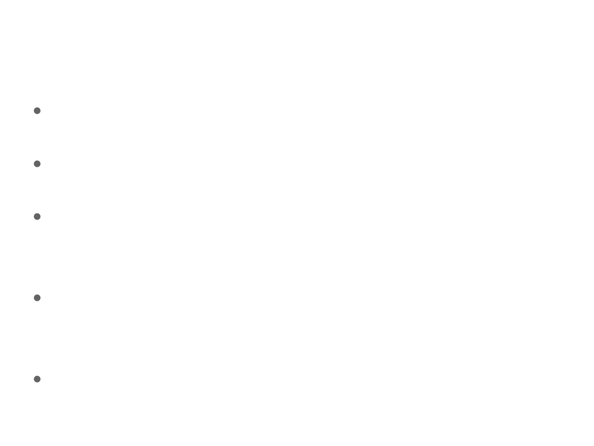$\bullet$  different to use  $\bullet$  $\bullet$  . Need to support more device support more device support more device support more device support more devices  $\bullet$  $\bullet$  More vendor support necessary. Many vendors building  $\bullet$  $\bullet$  . Need to get more developers in this to get more developers in this to bring this to bring this to bring this to bring this to bring this to bring this to bring this to bring this to bring this to bring this to brin  $\bullet$  Of  $\bullet$  Open Fabrics Association). The contract  $\bullet$